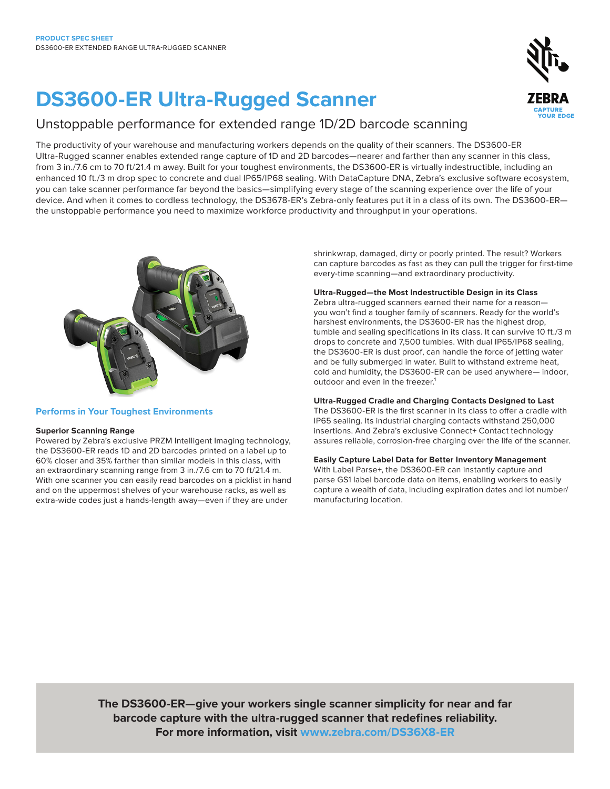# **DS3600-ER Ultra-Rugged Scanner**

## Unstoppable performance for extended range 1D/2D barcode scanning

The productivity of your warehouse and manufacturing workers depends on the quality of their scanners. The DS3600-ER Ultra-Rugged scanner enables extended range capture of 1D and 2D barcodes—nearer and farther than any scanner in this class, from 3 in./7.6 cm to 70 ft/21.4 m away. Built for your toughest environments, the DS3600-ER is virtually indestructible, including an enhanced 10 ft./3 m drop spec to concrete and dual IP65/IP68 sealing. With DataCapture DNA, Zebra's exclusive software ecosystem, you can take scanner performance far beyond the basics—simplifying every stage of the scanning experience over the life of your device. And when it comes to cordless technology, the DS3678-ER's Zebra-only features put it in a class of its own. The DS3600-ER the unstoppable performance you need to maximize workforce productivity and throughput in your operations.



#### **Performs in Your Toughest Environments**

#### **Superior Scanning Range**

Powered by Zebra's exclusive PRZM Intelligent Imaging technology, the DS3600-ER reads 1D and 2D barcodes printed on a label up to 60% closer and 35% farther than similar models in this class, with an extraordinary scanning range from 3 in./7.6 cm to 70 ft/21.4 m. With one scanner you can easily read barcodes on a picklist in hand and on the uppermost shelves of your warehouse racks, as well as extra-wide codes just a hands-length away—even if they are under

shrinkwrap, damaged, dirty or poorly printed. The result? Workers can capture barcodes as fast as they can pull the trigger for first-time every-time scanning—and extraordinary productivity.

#### **Ultra-Rugged—the Most Indestructible Design in its Class**

Zebra ultra-rugged scanners earned their name for a reason you won't find a tougher family of scanners. Ready for the world's harshest environments, the DS3600-ER has the highest drop, tumble and sealing specifications in its class. It can survive 10 ft./3 m drops to concrete and 7,500 tumbles. With dual IP65/IP68 sealing, the DS3600-ER is dust proof, can handle the force of jetting water and be fully submerged in water. Built to withstand extreme heat, cold and humidity, the DS3600-ER can be used anywhere— indoor, outdoor and even in the freezer.<sup>1</sup>

#### **Ultra-Rugged Cradle and Charging Contacts Designed to Last**

The DS3600-ER is the first scanner in its class to offer a cradle with IP65 sealing. Its industrial charging contacts withstand 250,000 insertions. And Zebra's exclusive Connect+ Contact technology assures reliable, corrosion-free charging over the life of the scanner.

#### **Easily Capture Label Data for Better Inventory Management**

With Label Parse+, the DS3600-ER can instantly capture and parse GS1 label barcode data on items, enabling workers to easily capture a wealth of data, including expiration dates and lot number/ manufacturing location.

**The DS3600-ER—give your workers single scanner simplicity for near and far barcode capture with the ultra-rugged scanner that redefines reliability. For more information, visit [www.zebra.com/DS36X8-ER](http://www.zebra.com/DS36X8-ER)**

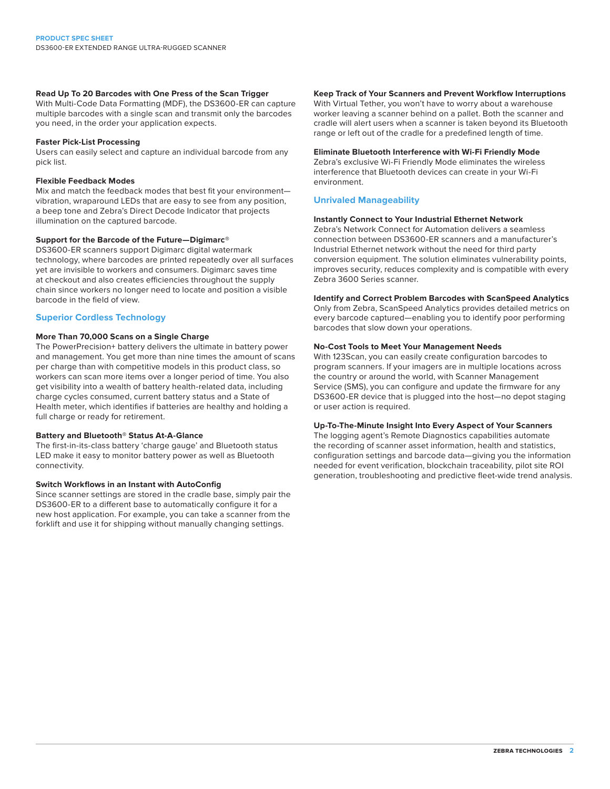#### **Read Up To 20 Barcodes with One Press of the Scan Trigger**

With Multi-Code Data Formatting (MDF), the DS3600-ER can capture multiple barcodes with a single scan and transmit only the barcodes you need, in the order your application expects.

#### **Faster Pick-List Processing**

Users can easily select and capture an individual barcode from any pick list.

#### **Flexible Feedback Modes**

Mix and match the feedback modes that best fit your environment vibration, wraparound LEDs that are easy to see from any position, a beep tone and Zebra's Direct Decode Indicator that projects illumination on the captured barcode.

#### **Support for the Barcode of the Future—Digimarc®**

DS3600-ER scanners support Digimarc digital watermark technology, where barcodes are printed repeatedly over all surfaces yet are invisible to workers and consumers. Digimarc saves time at checkout and also creates efficiencies throughout the supply chain since workers no longer need to locate and position a visible barcode in the field of view.

#### **Superior Cordless Technology**

#### **More Than 70,000 Scans on a Single Charge**

The PowerPrecision+ battery delivers the ultimate in battery power and management. You get more than nine times the amount of scans per charge than with competitive models in this product class, so workers can scan more items over a longer period of time. You also get visibility into a wealth of battery health-related data, including charge cycles consumed, current battery status and a State of Health meter, which identifies if batteries are healthy and holding a full charge or ready for retirement.

#### **Battery and Bluetooth® Status At-A-Glance**

The first-in-its-class battery 'charge gauge' and Bluetooth status LED make it easy to monitor battery power as well as Bluetooth connectivity.

#### **Switch Workflows in an Instant with AutoConfig**

Since scanner settings are stored in the cradle base, simply pair the DS3600-ER to a different base to automatically configure it for a new host application. For example, you can take a scanner from the forklift and use it for shipping without manually changing settings.

#### **Keep Track of Your Scanners and Prevent Workflow Interruptions**

With Virtual Tether, you won't have to worry about a warehouse worker leaving a scanner behind on a pallet. Both the scanner and cradle will alert users when a scanner is taken beyond its Bluetooth range or left out of the cradle for a predefined length of time.

#### **Eliminate Bluetooth Interference with Wi-Fi Friendly Mode**

Zebra's exclusive Wi-Fi Friendly Mode eliminates the wireless interference that Bluetooth devices can create in your Wi-Fi environment.

#### **Unrivaled Manageability**

#### **Instantly Connect to Your Industrial Ethernet Network**

Zebra's Network Connect for Automation delivers a seamless connection between DS3600-ER scanners and a manufacturer's Industrial Ethernet network without the need for third party conversion equipment. The solution eliminates vulnerability points, improves security, reduces complexity and is compatible with every Zebra 3600 Series scanner.

#### **Identify and Correct Problem Barcodes with ScanSpeed Analytics**

Only from Zebra, ScanSpeed Analytics provides detailed metrics on every barcode captured—enabling you to identify poor performing barcodes that slow down your operations.

#### **No-Cost Tools to Meet Your Management Needs**

With 123Scan, you can easily create configuration barcodes to program scanners. If your imagers are in multiple locations across the country or around the world, with Scanner Management Service (SMS), you can configure and update the firmware for any DS3600-ER device that is plugged into the host—no depot staging or user action is required.

#### **Up-To-The-Minute Insight Into Every Aspect of Your Scanners**

The logging agent's Remote Diagnostics capabilities automate the recording of scanner asset information, health and statistics, configuration settings and barcode data—giving you the information needed for event verification, blockchain traceability, pilot site ROI generation, troubleshooting and predictive fleet-wide trend analysis.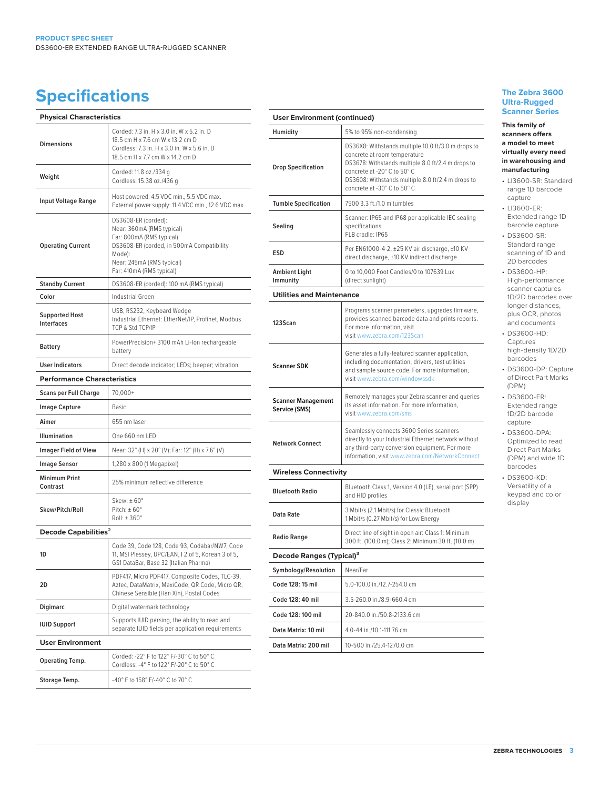## **Specifications Specifications Specifications**

| <b>Physical Characteristics</b>            |                                                                                                                                                                                              |
|--------------------------------------------|----------------------------------------------------------------------------------------------------------------------------------------------------------------------------------------------|
| <b>Dimensions</b>                          | Corded: 7.3 in, H x 3.0 in, W x 5.2 in, D<br>18.5 cm H x 7.6 cm W x 13.2 cm D<br>Cordless: 7.3 in. H x 3.0 in. W x 5.6 in. D<br>18.5 cm H x 7.7 cm W x 14.2 cm D                             |
| Weight                                     | Corded: 11.8 oz./334 g<br>Cordless: 15.38 oz./436 g                                                                                                                                          |
| Input Voltage Range                        | Host powered: 4.5 VDC min., 5.5 VDC max.<br>External power supply: 11.4 VDC min., 12.6 VDC max.                                                                                              |
| <b>Operating Current</b>                   | DS3608-ER (corded):<br>Near: 360mA (RMS typical)<br>Far: 800mA (RMS typical)<br>DS3608-ER (corded, in 500mA Compatibility<br>Mode):<br>Near: 245mA (RMS typical)<br>Far: 410mA (RMS typical) |
| <b>Standby Current</b>                     | DS3608-ER (corded): 100 mA (RMS typical)                                                                                                                                                     |
| Color                                      | Industrial Green                                                                                                                                                                             |
| <b>Supported Host</b><br><b>Interfaces</b> | USB, RS232, Keyboard Wedge<br>Industrial Ethernet: EtherNet/IP, Profinet, Modbus<br>TCP & Std TCP/IP                                                                                         |
| <b>Battery</b>                             | PowerPrecision+3100 mAh Li-Ion rechargeable<br>battery                                                                                                                                       |
| <b>User Indicators</b>                     | Direct decode indicator; LEDs; beeper; vibration                                                                                                                                             |
| <b>Performance Characteristics</b>         |                                                                                                                                                                                              |
| <b>Scans per Full Charge</b>               | $70,000+$                                                                                                                                                                                    |
| <b>Image Capture</b>                       | Basic                                                                                                                                                                                        |
| Aimer                                      | 655 nm laser                                                                                                                                                                                 |
| <b>Illumination</b>                        | One 660 nm LED                                                                                                                                                                               |
| <b>Imager Field of View</b>                | Near: 32° (H) x 20° (V); Far: 12° (H) x 7.6° (V)                                                                                                                                             |
| Image Sensor                               | 1,280 x 800 (1 Megapixel)                                                                                                                                                                    |
| <b>Minimum Print</b><br>Contrast           | 25% minimum reflective difference                                                                                                                                                            |
| Skew/Pitch/Roll                            | Skew: $\pm 60^\circ$<br>Pitch: $\pm 60^\circ$<br>Roll: ±360°                                                                                                                                 |
| Decode Capabilities <sup>2</sup>           |                                                                                                                                                                                              |
|                                            | Code 39, Code 128, Code 93, Codabar/NW7, Code<br>11, MSI Plessey, UPC/EAN, I 2 of 5, Korean 3 of 5,<br>GS1 DataBar, Base 32 (Italian Pharma)                                                 |
| 2D                                         | PDF417, Micro PDF417, Composite Codes, TLC-39,<br>Aztec, DataMatrix, MaxiCode, QR Code, Micro QR,<br>Chinese Sensible (Han Xin), Postal Codes                                                |
| Digimarc                                   | Digital watermark technology                                                                                                                                                                 |
| <b>IUID Support</b>                        | Supports IUID parsing, the ability to read and<br>separate IUID fields per application requirements                                                                                          |
| <b>User Environment</b>                    |                                                                                                                                                                                              |
| Operating Temp.                            | Corded: -22° F to 122° F/-30° C to 50° C<br>Cordless: -4° F to 122° F/-20° C to 50° C                                                                                                        |
| Storage Temp.                              | -40° F to 158° F/-40° C to 70° C                                                                                                                                                             |

| <b>User Environment (continued)</b>        |                                                                                                                                                                                                                                                            |  |
|--------------------------------------------|------------------------------------------------------------------------------------------------------------------------------------------------------------------------------------------------------------------------------------------------------------|--|
|                                            |                                                                                                                                                                                                                                                            |  |
| <b>Drop Specification</b>                  | DS36X8: Withstands multiple 10.0 ft/3.0 m drops to<br>concrete at room temperature<br>DS3678: Withstands multiple 8.0 ft/2.4 m drops to<br>concrete at -20° C to 50° C<br>DS3608: Withstands multiple 8.0 ft/2.4 m drops to<br>concrete at -30° C to 50° C |  |
| <b>Tumble Specification</b>                | 7500 3.3 ft./1.0 m tumbles                                                                                                                                                                                                                                 |  |
| Sealing                                    | Scanner: IP65 and IP68 per applicable IEC sealing<br>specifications<br>FLB cradle: IP65                                                                                                                                                                    |  |
| ESD                                        | Per EN61000-4-2, ±25 KV air discharge, ±10 KV<br>direct discharge, ±10 KV indirect discharge                                                                                                                                                               |  |
| Ambient Light<br>Immunity                  | 0 to 10,000 Foot Candles/0 to 107639 Lux<br>(direct sunlight)                                                                                                                                                                                              |  |
| <b>Utilities and Maintenance</b>           |                                                                                                                                                                                                                                                            |  |
| 123Scan                                    | Programs scanner parameters, upgrades firmware,<br>provides scanned barcode data and prints reports.<br>For more information, visit<br>visit www.zebra.com/123Scan                                                                                         |  |
| <b>Scanner SDK</b>                         | Generates a fully-featured scanner application,<br>including documentation, drivers, test utilities<br>and sample source code. For more information,<br>visit www.zebra.com/windowssdk                                                                     |  |
| <b>Scanner Management</b><br>Service (SMS) | Remotely manages your Zebra scanner and queries<br>its asset information. For more information,<br>visit www.zebra.com/sms                                                                                                                                 |  |
| <b>Network Connect</b>                     | Seamlessly connects 3600 Series scanners<br>directly to your Industrial Ethernet network without<br>any third-party conversion equipment. For more<br>information, visit www.zebra.com/NetworkConnect                                                      |  |
| <b>Wireless Connectivity</b>               |                                                                                                                                                                                                                                                            |  |
| <b>Bluetooth Radio</b>                     | Bluetooth Class 1, Version 4.0 (LE), serial port (SPP)<br>and HID profiles                                                                                                                                                                                 |  |
| Data Rate                                  | 3 Mbit/s (2.1 Mbit/s) for Classic Bluetooth<br>1 Mbit/s (0.27 Mbit/s) for Low Energy                                                                                                                                                                       |  |
| Radio Range                                | Direct line of sight in open air: Class 1: Minimum<br>300 ft. (100.0 m); Class 2: Minimum 30 ft. (10.0 m)                                                                                                                                                  |  |
| Decode Ranges (Typical) <sup>3</sup>       |                                                                                                                                                                                                                                                            |  |
| Symbology/Resolution                       | Near/Far                                                                                                                                                                                                                                                   |  |
| Code 128: 15 mil                           | 5.0-100.0 in./12.7-254.0 cm                                                                                                                                                                                                                                |  |
| Code 128: 40 mil                           | 3.5-260.0 in./8.9-660.4 cm                                                                                                                                                                                                                                 |  |
| Code 128: 100 mil                          | 20-840.0 in./50.8-2133.6 cm                                                                                                                                                                                                                                |  |
| Data Matrix: 10 mil                        | 4.0-44 in./10.1-111.76 cm                                                                                                                                                                                                                                  |  |
| Data Matrix: 200 mil                       | 10-500 in./25.4-1270.0 cm                                                                                                                                                                                                                                  |  |

### **Ultra-Rugged Scanner Series**

#### **This family of scanners offers a model to meet virtually every need in warehousing and manufacturing**

- LI3600-SR: Standard range 1D barcode capture
- LI3600-ER: Extended range 1D barcode capture
- DS3600-SR: Standard range scanning of 1D and 2D barcodes
- DS3600-HP: High-performance scanner captures 1D/2D barcodes over longer distances, plus OCR, photos and documents
- DS3600-HD: Captures high-density 1D/2D barcodes
- DS3600-DP: Capture of Direct Part Marks (DPM)
- DS3600-ER: Extended range 1D/2D barcode capture
- DS3600-DPA: Optimized to read Direct Part Marks (DPM) and wide 1D barcodes
- DS3600-KD: Versatility of a keypad and color display